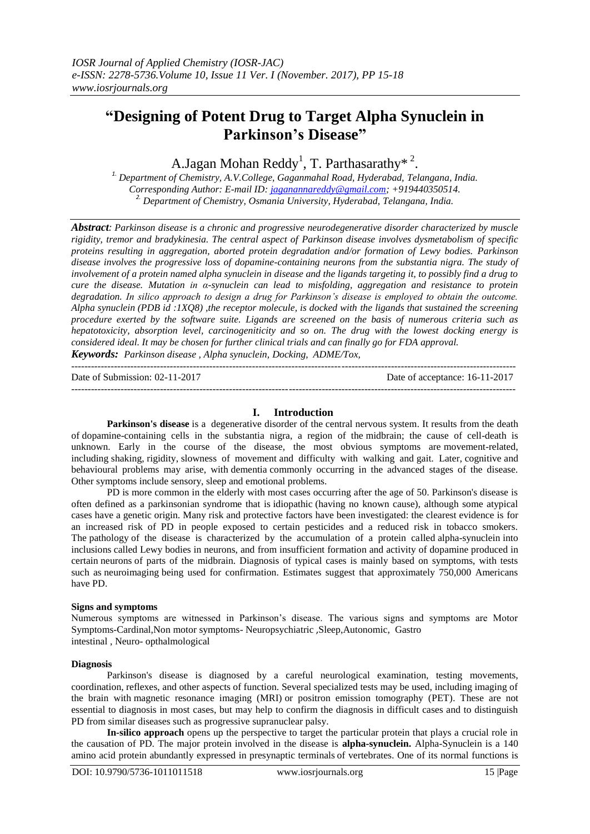# **"Designing of Potent Drug to Target Alpha Synuclein in Parkinson's Disease"**

A.Jagan Mohan Reddy<sup>1</sup>, T. Parthasarathy\* <sup>2</sup>.

*1. Department of Chemistry, A.V.College, Gaganmahal Road, Hyderabad, Telangana, India. Corresponding Author: E-mail ID: [jaganannareddy@gmail.com;](mailto:jaganannareddy@gmail.com) +919440350514. 2. Department of Chemistry, Osmania University, Hyderabad, Telangana, India.*

*Abstract: Parkinson disease is a chronic and progressive neurodegenerative disorder characterized by muscle rigidity, tremor and bradykinesia. The central aspect of Parkinson disease involves dysmetabolism of specific proteins resulting in aggregation, aborted protein degradation and/or formation of Lewy bodies. Parkinson disease involves the progressive loss of dopamine-containing neurons from the substantia nigra. The study of involvement of a protein named alpha synuclein in disease and the ligands targeting it, to possibly find a drug to cure the disease. Mutation in α-synuclein can lead to misfolding, aggregation and resistance to protein degradation. In silico approach to design a drug for Parkinson's disease is employed to obtain the outcome. Alpha synuclein (PDB id :1XQ8) ,the receptor molecule, is docked with the ligands that sustained the screening procedure exerted by the software suite. Ligands are screened on the basis of numerous criteria such as hepatotoxicity, absorption level, carcinogeniticity and so on. The drug with the lowest docking energy is considered ideal. It may be chosen for further clinical trials and can finally go for FDA approval.*

*Keywords: Parkinson disease , Alpha synuclein, Docking, ADME/Tox,*   $-1\leq i\leq n-1$ 

Date of Submission: 02-11-2017 Date of acceptance: 16-11-2017 ---------------------------------------------------------------------------------------------------------------------------------------

# **I. Introduction**

**Parkinson's disease** is a degenerative disorder of the central nervous system. It results from the death of dopamine-containing cells in the substantia nigra, a region of the [midbrain;](http://en.wikipedia.org/wiki/Midbrain) the cause of cell-death is unknown. Early in the course of the disease, the most obvious symptoms are [movement-related,](http://en.wikipedia.org/wiki/Motor_skill) including [shaking,](http://en.wikipedia.org/wiki/Tremor) [rigidity,](http://en.wikipedia.org/wiki/Spasticity) slowness of movement and difficulty with walking and [gait.](http://en.wikipedia.org/wiki/Gait) Later, [cognitive](http://en.wikipedia.org/wiki/Cognition) and behavioural problems may arise, with [dementia](http://en.wikipedia.org/wiki/Dementia) commonly occurring in the advanced stages of the disease. Other symptoms include sensory, sleep and emotional problems.

PD is more common in the elderly with most cases occurring after the age of 50. Parkinson's disease is often defined as a parkinsonian syndrome that is idiopathic (having no known cause), although some atypical cases have a [genetic](http://en.wikipedia.org/wiki/Genetics) origin. Many risk and protective factors have been investigated: the clearest evidence is for an increased risk of PD in people exposed to certain pesticides and a reduced risk in tobacco smokers. The [pathology](http://en.wikipedia.org/wiki/Pathology) of the disease is characterized by the accumulation of a protein called [alpha-synuclein](http://en.wikipedia.org/wiki/Alpha-synuclein) into [inclusions](http://en.wikipedia.org/wiki/Inclusion_bodies) called Lewy bodies in neurons, and from insufficient formation and activity of [dopamine](http://en.wikipedia.org/wiki/Dopamine) produced in certain neurons of parts of the midbrain. Diagnosis of typical cases is mainly based on symptoms, with tests such as neuroimaging being used for confirmation. Estimates suggest that approximately 750,000 Americans have PD.

# **Signs and symptoms**

Numerous symptoms are witnessed in Parkinson's disease. The various signs and symptoms are Motor Symptoms-Cardinal,Non motor symptoms- [Neuropsychiatric](http://en.wikipedia.org/wiki/Signs_and_symptoms_of_Parkinson) ,Sleep,Autonomic, Gastro intestinal , Neuro- opthalmological

## **Diagnosis**

Parkinson's disease is diagnosed by a careful neurological examination, testing movements, coordination, reflexes, and other aspects of function. Several specialized tests may be used, including imaging of the brain with magnetic resonance imaging (MRI) or positron emission tomography (PET). These are not essential to diagnosis in most cases, but may help to confirm the diagnosis in difficult cases and to distinguish PD from similar diseases such as progressive supranuclear palsy.

**In-silico approach** opens up the perspective to target the particular protein that plays a crucial role in the causation of PD. The major protein involved in the disease is **alpha-synuclein.** Alpha-Synuclein is a 140 amino acid protein abundantly expressed in presynaptic terminals of vertebrates. One of its normal functions is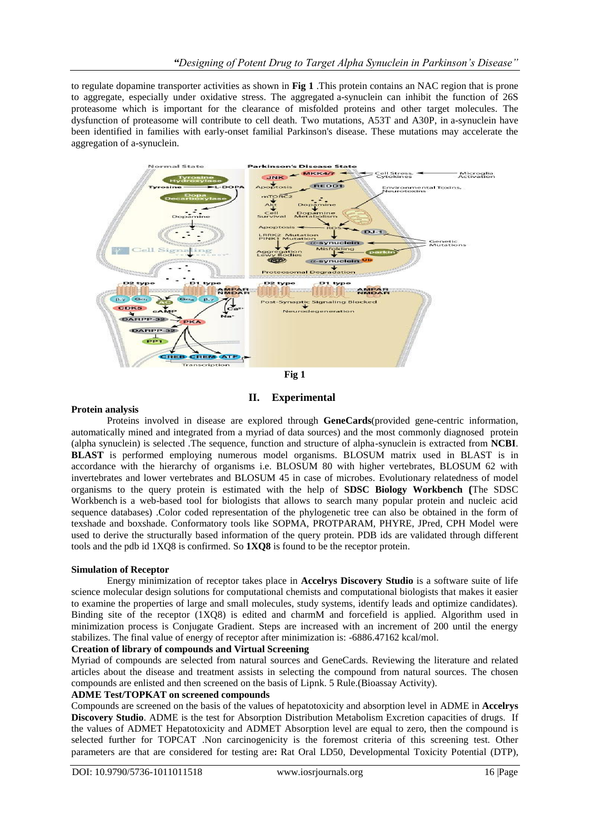to regulate dopamine transporter activities as shown in **Fig 1** .This protein contains an NAC region that is prone to aggregate, especially under oxidative stress. The aggregated a-synuclein can inhibit the function of 26S proteasome which is important for the clearance of misfolded proteins and other target molecules. The dysfunction of proteasome will contribute to cell death. Two mutations, A53T and A30P, in a-synuclein have been identified in families with early-onset familial Parkinson's disease. These mutations may accelerate the aggregation of a-synuclein.



**II. Experimental**

# **Protein analysis**

Proteins involved in disease are explored through **GeneCards**(provided gene-centric information, automatically mined and integrated from a myriad of data sources) and the most commonly diagnosed protein (alpha synuclein) is selected .The sequence, function and structure of alpha-synuclein is extracted from **NCBI**. **BLAST** is performed employing numerous model organisms. BLOSUM matrix used in BLAST is in accordance with the hierarchy of organisms i.e. BLOSUM 80 with higher vertebrates, BLOSUM 62 with invertebrates and lower vertebrates and BLOSUM 45 in case of microbes. Evolutionary relatedness of model organisms to the query protein is estimated with the help of **SDSC Biology Workbench (**The SDSC Workbench is a web-based tool for biologists that allows to search many popular protein and nucleic acid sequence databases) .Color coded representation of the phylogenetic tree can also be obtained in the form of texshade and boxshade. Conformatory tools like SOPMA, PROTPARAM, PHYRE, JPred, CPH Model were used to derive the structurally based information of the query protein. PDB ids are validated through different tools and the pdb id 1XQ8 is confirmed. So **1XQ8** is found to be the receptor protein.

# **Simulation of Receptor**

Energy minimization of receptor takes place in **Accelrys Discovery Studio** is a software suite of life science molecular design solutions for computational chemists and computational biologists that makes it easier to examine the properties of large and small molecules, study systems, identify leads and optimize candidates). Binding site of the receptor (1XQ8) is edited and charmM and forcefield is applied. Algorithm used in minimization process is Conjugate Gradient. Steps are increased with an increment of 200 until the energy stabilizes. The final value of energy of receptor after minimization is: -6886.47162 kcal/mol.

## **Creation of library of compounds and Virtual Screening**

Myriad of compounds are selected from natural sources and GeneCards. Reviewing the literature and related articles about the disease and treatment assists in selecting the compound from natural sources. The chosen compounds are enlisted and then screened on the basis of Lipnk. 5 Rule.(Bioassay Activity).

# **ADME Test/TOPKAT on screened compounds**

Compounds are screened on the basis of the values of hepatotoxicity and absorption level in ADME in **Accelrys Discovery Studio**. ADME is the test for Absorption Distribution Metabolism Excretion capacities of drugs. If the values of ADMET Hepatotoxicity and ADMET Absorption level are equal to zero, then the compound is selected further for TOPCAT .Non carcinogenicity is the foremost criteria of this screening test. Other parameters are that are considered for testing are**:** Rat Oral LD50, Developmental Toxicity Potential (DTP),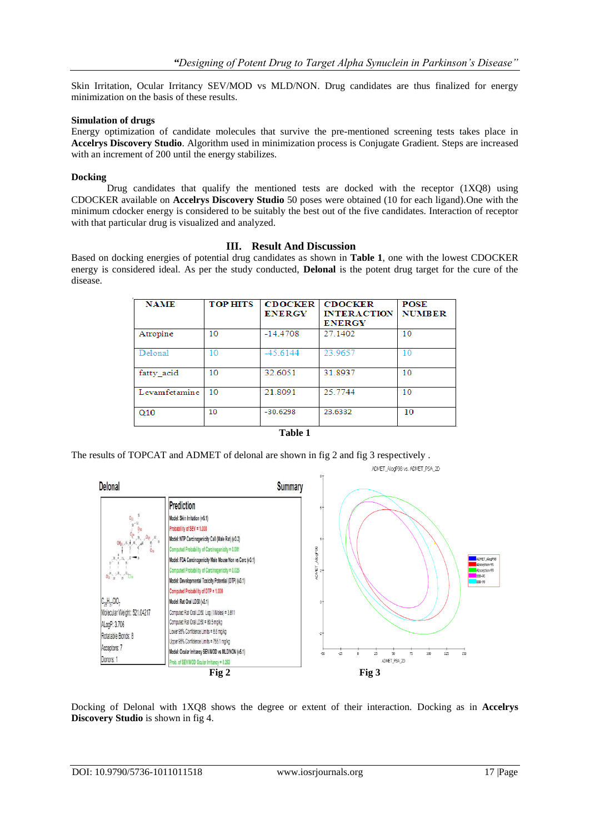Skin Irritation, Ocular Irritancy SEV/MOD vs MLD/NON. Drug candidates are thus finalized for energy minimization on the basis of these results.

#### **Simulation of drugs**

Energy optimization of candidate molecules that survive the pre-mentioned screening tests takes place in **Accelrys Discovery Studio**. Algorithm used in minimization process is Conjugate Gradient. Steps are increased with an increment of 200 until the energy stabilizes.

#### **Docking**

Drug candidates that qualify the mentioned tests are docked with the receptor  $(1XQ8)$  using CDOCKER available on **Accelrys Discovery Studio** 50 poses were obtained (10 for each ligand).One with the minimum cdocker energy is considered to be suitably the best out of the five candidates. Interaction of receptor with that particular drug is visualized and analyzed.

## **III. Result And Discussion**

Based on docking energies of potential drug candidates as shown in **Table 1**, one with the lowest CDOCKER energy is considered ideal. As per the study conducted, **Delonal** is the potent drug target for the cure of the disease.

| <b>NAME</b>   | <b>TOP HITS</b> | <b>CDOCKER</b><br><b>ENERGY</b> | <b>CDOCKER</b><br><b>INTERACTION</b><br><b>ENERGY</b> | <b>POSE</b><br><b>NUMBER</b> |
|---------------|-----------------|---------------------------------|-------------------------------------------------------|------------------------------|
| Atropine      | 10              | $-14.4708$                      | 27.1402                                               | 10                           |
| Delonal       | 10              | $-45.6144$                      | 23.9657                                               | 10                           |
| fatty acid    | 10              | 32.6051                         | 31.8937                                               | 10                           |
| Levamfetamine | 10              | 21.8091                         | 25.7744                                               | 10                           |
| Q10           | 10              | $-30.6298$                      | 23.6332                                               | 10                           |

| e v<br>× | ۱<br>п<br>H |  |
|----------|-------------|--|
|----------|-------------|--|

The results of TOPCAT and ADMET of delonal are shown in fig 2 and fig 3 respectively .



Docking of Delonal with 1XQ8 shows the degree or extent of their interaction. Docking as in **Accelrys Discovery Studio** is shown in fig 4.